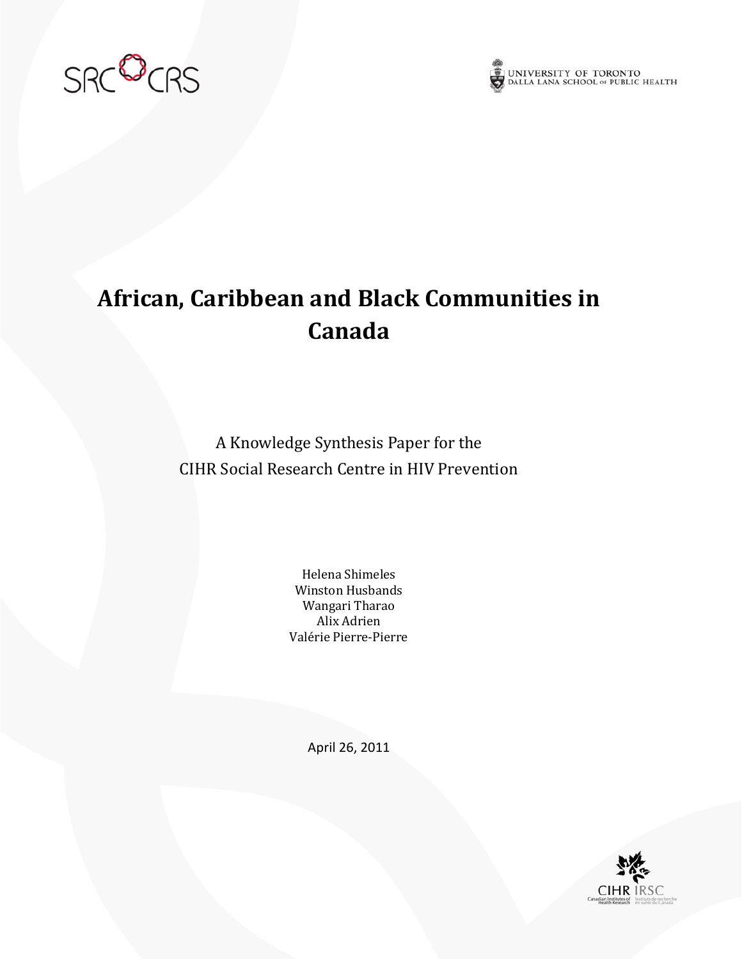



# **African, Caribbean and Black Communities in Canada**

A Knowledge Synthesis Paper for the CIHR Social Research Centre in HIV Prevention

> Helena Shimeles Winston Husbands Wangari Tharao Alix Adrien Valérie Pierre-Pierre

> > April 26, 2011

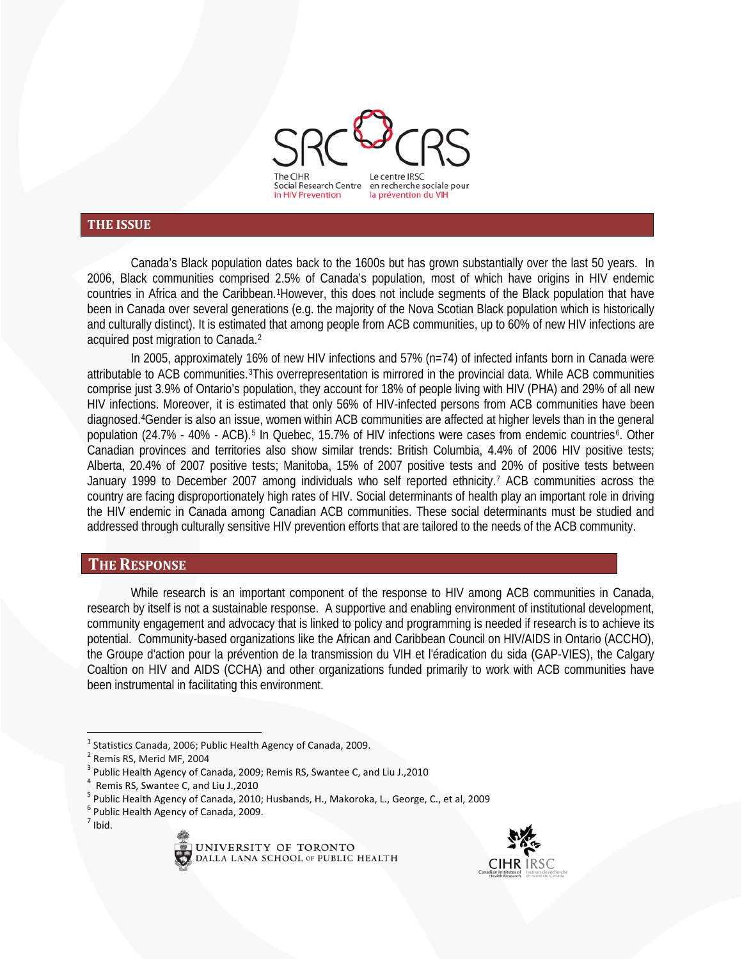

#### **THE ISSUE**

Canada's Black population dates back to the 1600s but has grown substantially over the last 50 years. In 2006, Black communities comprised 2.5% of Canada's population, most of which have origins in HIV endemic countries in Africa and the Caribbean.[1H](#page-1-0)owever, this does not include segments of the Black population that have been in Canada over several generations (e.g. the majority of the Nova Scotian Black population which is historically and culturally distinct). It is estimated that among people from ACB communities, up to 60% of new HIV infections are acquired post migration to Canada.[2](#page-1-1)

In 2005, approximately 16% of new HIV infections and 57% (n=74) of infected infants born in Canada were attributable to ACB communities.[3](#page-1-2)This overrepresentation is mirrored in the provincial data. While ACB communities comprise just 3.9% of Ontario's population, they account for 18% of people living with HIV (PHA) and 29% of all new HIV infections. Moreover, it is estimated that only 56% of HIV-infected persons from ACB communities have been diagnosed.[4G](#page-1-3)ender is also an issue, women within ACB communities are affected at higher levels than in the general population (24.7% - 40% - ACB).<sup>[5](#page-1-4)</sup> In Quebec, 15.7% of HIV infections were cases from endemic countries<sup>[6](#page-1-5)</sup>. Other Canadian provinces and territories also show similar trends: British Columbia, 4.4% of 2006 HIV positive tests; Alberta, 20.4% of 2007 positive tests; Manitoba, 15% of 2007 positive tests and 20% of positive tests between January 1999 to December 2007 among individuals who self reported ethnicity.[7](#page-1-6) ACB communities across the country are facing disproportionately high rates of HIV. Social determinants of health play an important role in driving the HIV endemic in Canada among Canadian ACB communities. These social determinants must be studied and addressed through culturally sensitive HIV prevention efforts that are tailored to the needs of the ACB community.

#### **THE RESPONSE**

While research is an important component of the response to HIV among ACB communities in Canada, research by itself is not a sustainable response. A supportive and enabling environment of institutional development, community engagement and advocacy that is linked to policy and programming is needed if research is to achieve its potential. Community-based organizations like the African and Caribbean Council on HIV/AIDS in Ontario (ACCHO), the Groupe d'action pour la prévention de la transmission du VIH et l'éradication du sida (GAP-VIES), the Calgary Coaltion on HIV and AIDS (CCHA) and other organizations funded primarily to work with ACB communities have been instrumental in facilitating this environment.





<span id="page-1-0"></span><sup>&</sup>lt;sup>1</sup> Statistics Canada, 2006; Public Health Agency of Canada, 2009.<br><sup>2</sup> Remis RS, Merid MF, 2004

<span id="page-1-2"></span><span id="page-1-1"></span><sup>&</sup>lt;sup>3</sup> Public Health Agency of Canada, 2009; Remis RS, Swantee C, and Liu J., 2010<br><sup>4</sup> Remis RS, Swantee C, and Liu J., 2010

<span id="page-1-3"></span>

<span id="page-1-4"></span><sup>&</sup>lt;sup>5</sup> Public Health Agency of Canada, 2010; Husbands, H., Makoroka, L., George, C., et al, 2009 <sup>6</sup> Public Health Agency of Canada, 2009.

<span id="page-1-6"></span><span id="page-1-5"></span> $<sup>7</sup>$  Ibid.</sup>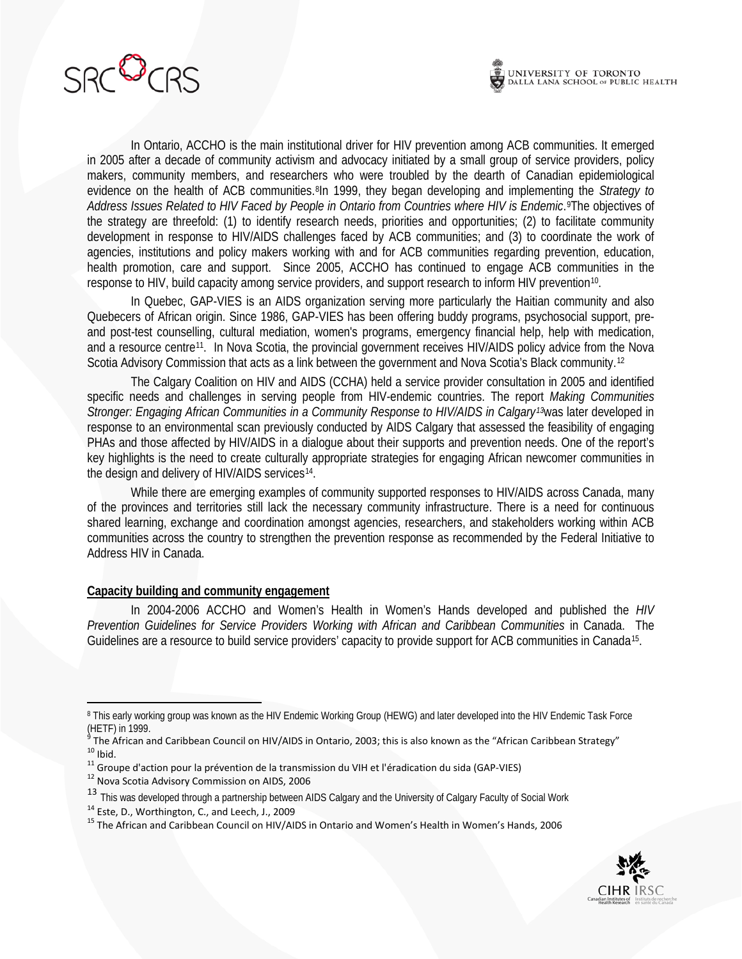

In Ontario, ACCHO is the main institutional driver for HIV prevention among ACB communities. It emerged in 2005 after a decade of community activism and advocacy initiated by a small group of service providers, policy makers, community members, and researchers who were troubled by the dearth of Canadian epidemiological evidence on the health of ACB communities.[8I](#page-2-0)n 1999, they began developing and implementing the *Strategy to*  Address Issues Related to HIV Faced by People in Ontario from Countries where HIV is Endemic.<sup>[9](#page-2-1)</sup>The objectives of the strategy are threefold: (1) to identify research needs, priorities and opportunities; (2) to facilitate community development in response to HIV/AIDS challenges faced by ACB communities; and (3) to coordinate the work of agencies, institutions and policy makers working with and for ACB communities regarding prevention, education, health promotion, care and support. Since 2005, ACCHO has continued to engage ACB communities in the response to HIV, build capacity among service providers, and support research to inform HIV prevention<sup>[10](#page-2-2)</sup>.

In Quebec, GAP-VIES is an AIDS organization serving more particularly the Haitian community and also Quebecers of African origin. Since 1986, GAP-VIES has been offering buddy programs, psychosocial support, preand post-test counselling, cultural mediation, women's programs, emergency financial help, help with medication, and a resource centre [11](#page-2-3). In Nova Scotia, the provincial government receives HIV/AIDS policy advice from the Nova Scotia Advisory Commission that acts as a link between the government and Nova Scotia's Black community.<sup>[12](#page-2-4)</sup>

The Calgary Coalition on HIV and AIDS (CCHA) held a service provider consultation in 2005 and identified specific needs and challenges in serving people from HIV-endemic countries. The report *Making Communities Stronger: Engaging African Communities in a Community Response to HIV/AIDS in Calgary[13](#page-2-5)*was later developed in response to an environmental scan previously conducted by AIDS Calgary that assessed the feasibility of engaging PHAs and those affected by HIV/AIDS in a dialogue about their supports and prevention needs. One of the report's key highlights is the need to create culturally appropriate strategies for engaging African newcomer communities in the design and delivery of HIV/AIDS services<sup>[14](#page-2-6)</sup>.

While there are emerging examples of community supported responses to HIV/AIDS across Canada, many of the provinces and territories still lack the necessary community infrastructure. There is a need for continuous shared learning, exchange and coordination amongst agencies, researchers, and stakeholders working within ACB communities across the country to strengthen the prevention response as recommended by the Federal Initiative to Address HIV in Canada.

#### **Capacity building and community engagement**

In 2004-2006 ACCHO and Women's Health in Women's Hands developed and published the *HIV Prevention Guidelines for Service Providers Working with African and Caribbean Communities* in Canada. The Guidelines are a resource to build service providers' capacity to provide support for ACB communities in Canada<sup>15</sup>.

<span id="page-2-7"></span><span id="page-2-6"></span><sup>&</sup>lt;sup>15</sup> The African and Caribbean Council on HIV/AIDS in Ontario and Women's Health in Women's Hands, 2006



<span id="page-2-0"></span><sup>&</sup>lt;sup>8</sup> This early working group was known as the HIV Endemic Working Group (HEWG) and later developed into the HIV Endemic Task Force (HETF) in 1999.<br><sup>9</sup> The African and Caribbean Council on HIV/AIDS in Ontario, 2003; this is also known as the "African Caribbean Strategy"

<span id="page-2-2"></span><span id="page-2-1"></span><sup>&</sup>lt;sup>10</sup> Ibid.<br><sup>10</sup> Ibid.<br><sup>11</sup> Groupe d'action pour la prévention de la transmission du VIH et l'éradication du sida (GAP-VIES)<br><sup>12</sup> Nova Scotia Advisory Commission on AIDS, 2006

<span id="page-2-3"></span>

<span id="page-2-5"></span><span id="page-2-4"></span><sup>&</sup>lt;sup>13</sup> This was developed through a partnership between AIDS Calgary and the University of Calgary Faculty of Social Work<br><sup>14</sup> Este, D., Worthington, C., and Leech, J., 2009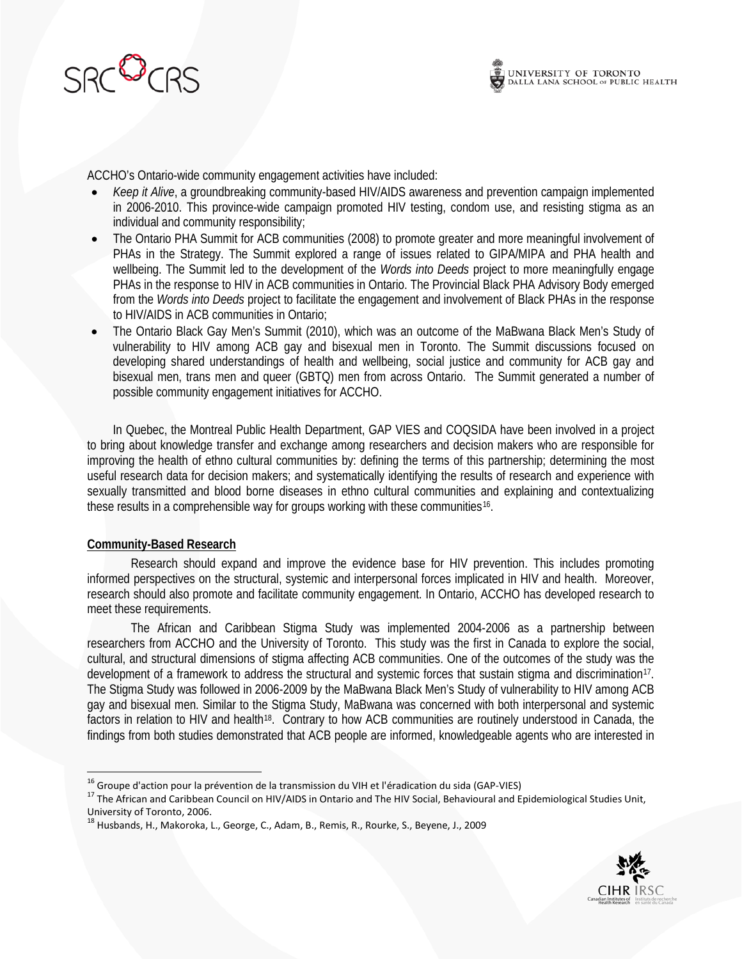

ACCHO's Ontario-wide community engagement activities have included:

- *Keep it Alive*, a groundbreaking community-based HIV/AIDS awareness and prevention campaign implemented in 2006-2010. This province-wide campaign promoted HIV testing, condom use, and resisting stigma as an individual and community responsibility;
- The Ontario PHA Summit for ACB communities (2008) to promote greater and more meaningful involvement of PHAs in the Strategy. The Summit explored a range of issues related to GIPA/MIPA and PHA health and wellbeing. The Summit led to the development of the *Words into Deeds* project to more meaningfully engage PHAs in the response to HIV in ACB communities in Ontario. The Provincial Black PHA Advisory Body emerged from the *Words into Deeds* project to facilitate the engagement and involvement of Black PHAs in the response to HIV/AIDS in ACB communities in Ontario;
- The Ontario Black Gay Men's Summit (2010), which was an outcome of the MaBwana Black Men's Study of vulnerability to HIV among ACB gay and bisexual men in Toronto. The Summit discussions focused on developing shared understandings of health and wellbeing, social justice and community for ACB gay and bisexual men, trans men and queer (GBTQ) men from across Ontario. The Summit generated a number of possible community engagement initiatives for ACCHO.

In Quebec, the Montreal Public Health Department, GAP VIES and COQSIDA have been involved in a project to bring about knowledge transfer and exchange among researchers and decision makers who are responsible for improving the health of ethno cultural communities by: defining the terms of this partnership; determining the most useful research data for decision makers; and systematically identifying the results of research and experience with sexually transmitted and blood borne diseases in ethno cultural communities and explaining and contextualizing these results in a comprehensible way for groups working with these communities[16.](#page-3-0)

#### **Community-Based Research**

Research should expand and improve the evidence base for HIV prevention. This includes promoting informed perspectives on the structural, systemic and interpersonal forces implicated in HIV and health. Moreover, research should also promote and facilitate community engagement. In Ontario, ACCHO has developed research to meet these requirements.

The African and Caribbean Stigma Study was implemented 2004-2006 as a partnership between researchers from ACCHO and the University of Toronto. This study was the first in Canada to explore the social, cultural, and structural dimensions of stigma affecting ACB communities. One of the outcomes of the study was the development of a framework to address the structural and systemic forces that sustain stigma and discrimination[17](#page-3-1). The Stigma Study was followed in 2006-2009 by the MaBwana Black Men's Study of vulnerability to HIV among ACB gay and bisexual men. Similar to the Stigma Study, MaBwana was concerned with both interpersonal and systemic factors in relation to HIV and health<sup>[18](#page-3-2)</sup>. Contrary to how ACB communities are routinely understood in Canada, the findings from both studies demonstrated that ACB people are informed, knowledgeable agents who are interested in



<span id="page-3-0"></span><sup>&</sup>lt;sup>16</sup> Groupe d'action pour la prévention de la transmission du VIH et l'éradication du sida (GAP-VIES)

<span id="page-3-1"></span><sup>&</sup>lt;sup>17</sup> The African and Caribbean Council on HIV/AIDS in Ontario and The HIV Social, Behavioural and Epidemiological Studies Unit, University of Toronto, 2006.

<span id="page-3-2"></span><sup>18</sup> Husbands, H., Makoroka, L., George, C., Adam, B., Remis, R., Rourke, S., Beyene, J., 2009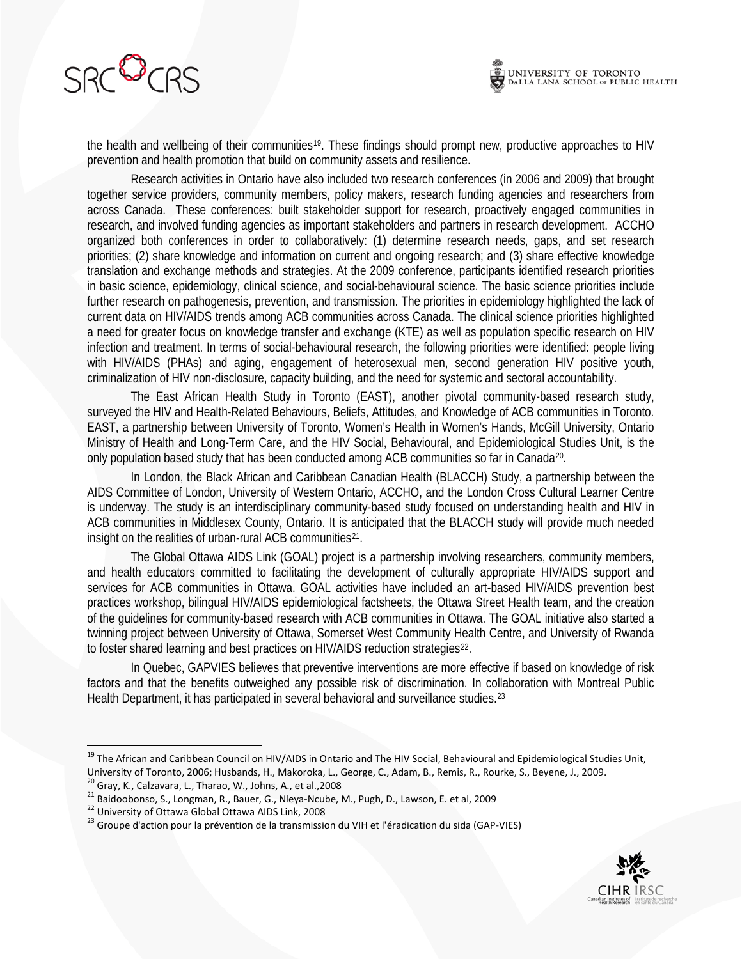



the health and wellbeing of their communities<sup>[19](#page-4-0)</sup>. These findings should prompt new, productive approaches to HIV prevention and health promotion that build on community assets and resilience.

Research activities in Ontario have also included two research conferences (in 2006 and 2009) that brought together service providers, community members, policy makers, research funding agencies and researchers from across Canada. These conferences: built stakeholder support for research, proactively engaged communities in research, and involved funding agencies as important stakeholders and partners in research development. ACCHO organized both conferences in order to collaboratively: (1) determine research needs, gaps, and set research priorities; (2) share knowledge and information on current and ongoing research; and (3) share effective knowledge translation and exchange methods and strategies. At the 2009 conference, participants identified research priorities in basic science, epidemiology, clinical science, and social-behavioural science. The basic science priorities include further research on pathogenesis, prevention, and transmission. The priorities in epidemiology highlighted the lack of current data on HIV/AIDS trends among ACB communities across Canada. The clinical science priorities highlighted a need for greater focus on knowledge transfer and exchange (KTE) as well as population specific research on HIV infection and treatment. In terms of social-behavioural research, the following priorities were identified: people living with HIV/AIDS (PHAs) and aging, engagement of heterosexual men, second generation HIV positive youth, criminalization of HIV non-disclosure, capacity building, and the need for systemic and sectoral accountability.

The East African Health Study in Toronto (EAST), another pivotal community-based research study, surveyed the HIV and Health-Related Behaviours, Beliefs, Attitudes, and Knowledge of ACB communities in Toronto. EAST, a partnership between University of Toronto, Women's Health in Women's Hands, McGill University, Ontario Ministry of Health and Long-Term Care, and the HIV Social, Behavioural, and Epidemiological Studies Unit, is the only population based study that has been conducted among ACB communities so far in Canada<sup>[20](#page-4-1)</sup>.

In London, the Black African and Caribbean Canadian Health (BLACCH) Study, a partnership between the AIDS Committee of London, University of Western Ontario, ACCHO, and the London Cross Cultural Learner Centre is underway. The study is an interdisciplinary community-based study focused on understanding health and HIV in ACB communities in Middlesex County, Ontario. It is anticipated that the BLACCH study will provide much needed insight on the realities of urban-rural ACB communities [21](#page-4-2) .

The Global Ottawa AIDS Link (GOAL) project is a partnership involving researchers, community members, and health educators committed to facilitating the development of culturally appropriate HIV/AIDS support and services for ACB communities in Ottawa. GOAL activities have included an art-based HIV/AIDS prevention best practices workshop, bilingual HIV/AIDS epidemiological factsheets, the Ottawa Street Health team, and the creation of the guidelines for community-based research with ACB communities in Ottawa. The GOAL initiative also started a twinning project between University of Ottawa, Somerset West Community Health Centre, and University of Rwanda to foster shared learning and best practices on HIV/AIDS reduction strategies<sup>[22](#page-4-3)</sup>.

In Quebec, GAPVIES believes that preventive interventions are more effective if based on knowledge of risk factors and that the benefits outweighed any possible risk of discrimination. In collaboration with Montreal Public Health Department, it has participated in several behavioral and surveillance studies.<sup>[23](#page-4-4)</sup>



<span id="page-4-0"></span><sup>&</sup>lt;sup>19</sup> The African and Caribbean Council on HIV/AIDS in Ontario and The HIV Social, Behavioural and Epidemiological Studies Unit, University of Toronto, 2006; Husbands, H., Makoroka, L., George, C., Adam, B., Remis, R., Rourke, S., Beyene, J., 2009.<br><sup>20</sup> Gray, K., Calzavara, L., Tharao, W., Johns, A., et al., 2008

<span id="page-4-4"></span>

<span id="page-4-3"></span><span id="page-4-2"></span><span id="page-4-1"></span><sup>21</sup> Baidoobonso, S., Longman, R., Bauer, G., Nleya-Ncube, M., Pugh, D., Lawson, E. et al, 2009<br>
<sup>21</sup> Baidoobonso, S., Longman, R., Bauer, G., Nleya-Ncube, M., Pugh, D., Lawson, E. et al, 2009<br>
<sup>22</sup> University of Ottawa Glob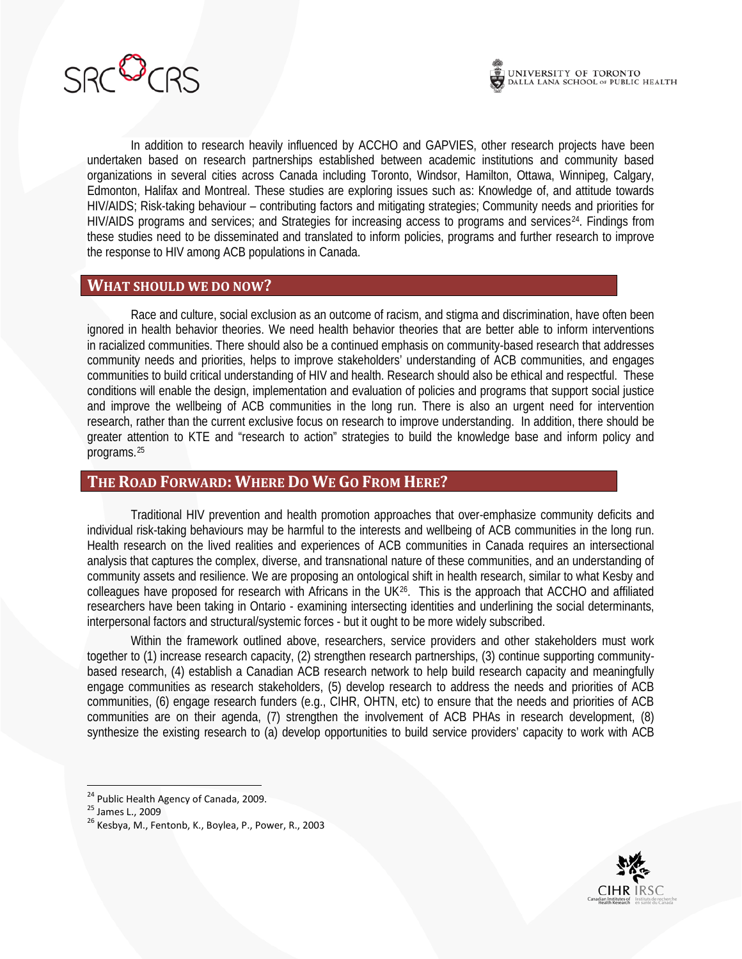

In addition to research heavily influenced by ACCHO and GAPVIES, other research projects have been undertaken based on research partnerships established between academic institutions and community based organizations in several cities across Canada including Toronto, Windsor, Hamilton, Ottawa, Winnipeg, Calgary, Edmonton, Halifax and Montreal. These studies are exploring issues such as: Knowledge of, and attitude towards HIV/AIDS; Risk-taking behaviour – contributing factors and mitigating strategies; Community needs and priorities for HIV/AIDS programs and services; and Strategies for increasing access to programs and services<sup>[24](#page-5-0)</sup>. Findings from these studies need to be disseminated and translated to inform policies, programs and further research to improve the response to HIV among ACB populations in Canada.

#### **WHAT SHOULD WE DO NOW?**

Race and culture, social exclusion as an outcome of racism, and stigma and discrimination, have often been ignored in health behavior theories. We need health behavior theories that are better able to inform interventions in racialized communities. There should also be a continued emphasis on community-based research that addresses community needs and priorities, helps to improve stakeholders' understanding of ACB communities, and engages communities to build critical understanding of HIV and health. Research should also be ethical and respectful. These conditions will enable the design, implementation and evaluation of policies and programs that support social justice and improve the wellbeing of ACB communities in the long run. There is also an urgent need for intervention research, rather than the current exclusive focus on research to improve understanding. In addition, there should be greater attention to KTE and "research to action" strategies to build the knowledge base and inform policy and programs.[25](#page-5-1)

#### **THE ROAD FORWARD: WHERE DO WE GO FROM HERE?**

Traditional HIV prevention and health promotion approaches that over-emphasize community deficits and individual risk-taking behaviours may be harmful to the interests and wellbeing of ACB communities in the long run. Health research on the lived realities and experiences of ACB communities in Canada requires an intersectional analysis that captures the complex, diverse, and transnational nature of these communities, and an understanding of community assets and resilience. We are proposing an ontological shift in health research, similar to what Kesby and colleagues have proposed for research with Africans in the UK<sup>[26](#page-5-2)</sup>. This is the approach that ACCHO and affiliated researchers have been taking in Ontario - examining intersecting identities and underlining the social determinants, interpersonal factors and structural/systemic forces - but it ought to be more widely subscribed.

Within the framework outlined above, researchers, service providers and other stakeholders must work together to (1) increase research capacity, (2) strengthen research partnerships, (3) continue supporting communitybased research, (4) establish a Canadian ACB research network to help build research capacity and meaningfully engage communities as research stakeholders, (5) develop research to address the needs and priorities of ACB communities, (6) engage research funders (e.g., CIHR, OHTN, etc) to ensure that the needs and priorities of ACB communities are on their agenda, (7) strengthen the involvement of ACB PHAs in research development, (8) synthesize the existing research to (a) develop opportunities to build service providers' capacity to work with ACB



<span id="page-5-2"></span>

<span id="page-5-1"></span><span id="page-5-0"></span><sup>&</sup>lt;sup>24</sup> Public Health Agency of Canada, 2009.<br><sup>25</sup> James L., 2009<br><sup>26</sup> Kesbya, M., Fentonb, K., Boylea, P., Power, R., 2003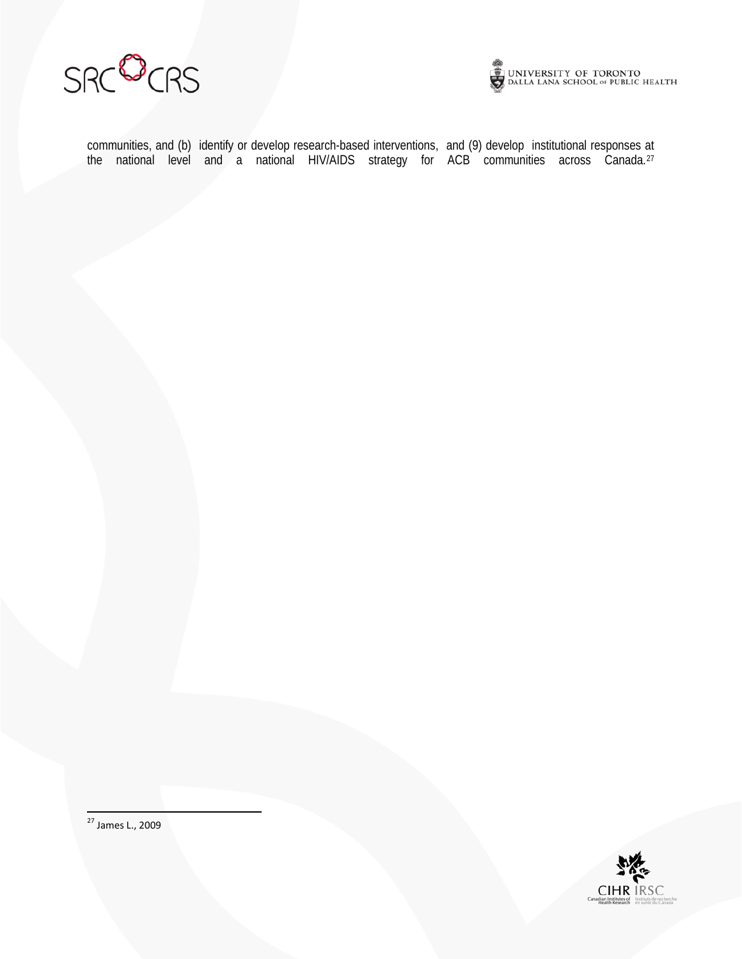



communities, and (b) identify or develop research-based interventions, and (9) develop institutional responses at the national level and a national HIV/AIDS strategy for ACB communities across Canada.<sup>[27](#page-6-0)</sup>

<span id="page-6-0"></span>27 James L., 2009

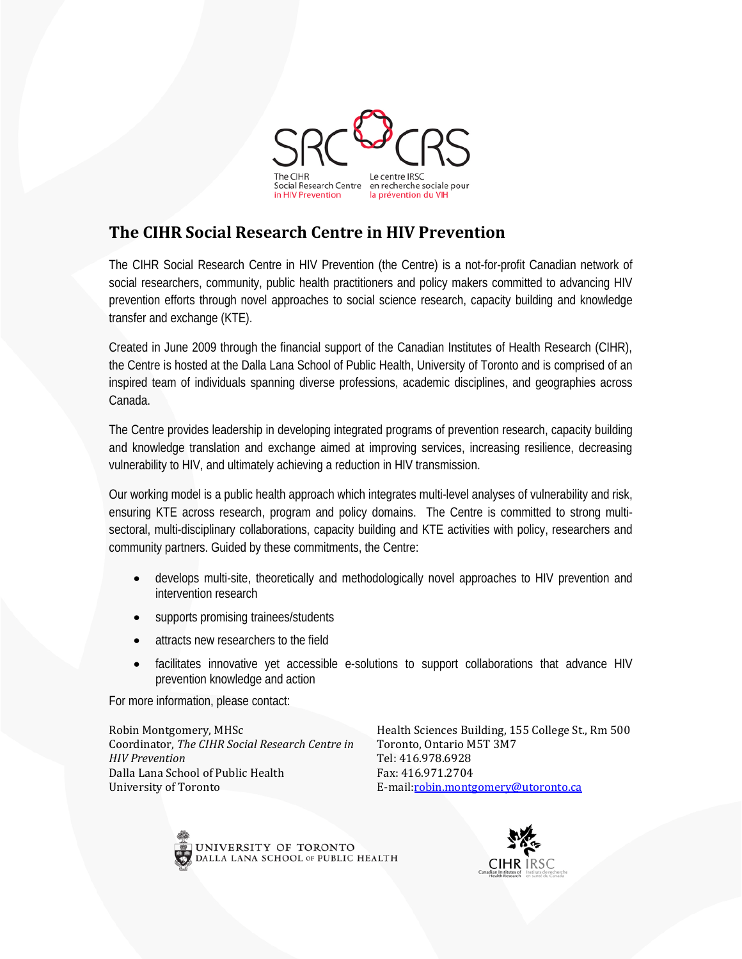

## **The CIHR Social Research Centre in HIV Prevention**

The CIHR Social Research Centre in HIV Prevention (the Centre) is a not-for-profit Canadian network of social researchers, community, public health practitioners and policy makers committed to advancing HIV prevention efforts through novel approaches to social science research, capacity building and knowledge transfer and exchange (KTE).

Created in June 2009 through the financial support of the Canadian Institutes of Health Research (CIHR), the Centre is hosted at the Dalla Lana School of Public Health, University of Toronto and is comprised of an inspired team of individuals spanning diverse professions, academic disciplines, and geographies across Canada.

The Centre provides leadership in developing integrated programs of prevention research, capacity building and knowledge translation and exchange aimed at improving services, increasing resilience, decreasing vulnerability to HIV, and ultimately achieving a reduction in HIV transmission.

Our working model is a public health approach which integrates multi-level analyses of vulnerability and risk, ensuring KTE across research, program and policy domains. The Centre is committed to strong multisectoral, multi-disciplinary collaborations, capacity building and KTE activities with policy, researchers and community partners. Guided by these commitments, the Centre:

- develops multi-site, theoretically and methodologically novel approaches to HIV prevention and intervention research
- supports promising trainees/students
- attracts new researchers to the field
- facilitates innovative yet accessible e-solutions to support collaborations that advance HIV prevention knowledge and action

For more information, please contact:

Robin Montgomery, MHSc Coordinator, *The CIHR Social Research Centre in HIV Prevention*  Dalla Lana School of Public Health University of Toronto

Health Sciences Building, 155 College St., Rm 500 Toronto, Ontario M5T 3M7 Tel: 416.978.6928 Fax: 416.971.2704 E-mail[:robin.montgomery@utoronto.ca](mailto:robin.montgomery@utoronto.ca)



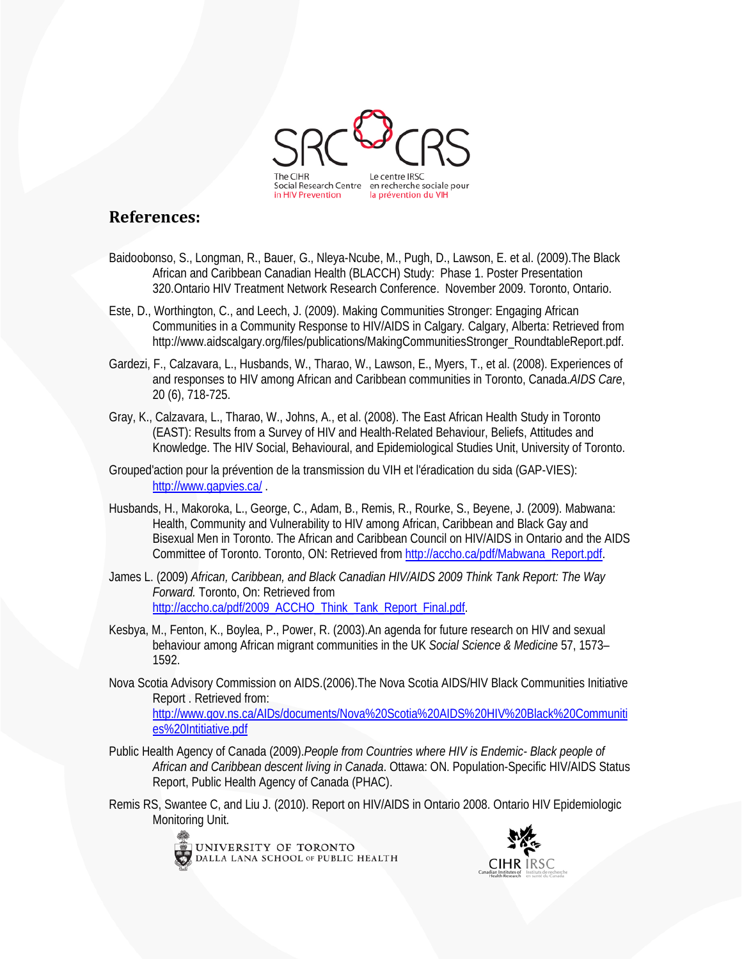

### **References:**

- Baidoobonso, S., Longman, R., Bauer, G., Nleya-Ncube, M., Pugh, D., Lawson, E. et al. (2009).The Black African and Caribbean Canadian Health (BLACCH) Study: Phase 1. Poster Presentation 320.Ontario HIV Treatment Network Research Conference. November 2009. Toronto, Ontario.
- Este, D., Worthington, C., and Leech, J. (2009). Making Communities Stronger: Engaging African Communities in a Community Response to HIV/AIDS in Calgary*.* Calgary, Alberta: Retrieved from http://www.aidscalgary.org/files/publications/MakingCommunitiesStronger\_RoundtableReport.pdf.
- Gardezi, F., Calzavara, L., Husbands, W., Tharao, W., Lawson, E., Myers, T., et al. (2008). Experiences of and responses to HIV among African and Caribbean communities in Toronto, Canada.*AIDS Care*, 20 (6), 718-725.
- Gray, K., Calzavara, L., Tharao, W., Johns, A., et al. (2008). The East African Health Study in Toronto (EAST): Results from a Survey of HIV and Health-Related Behaviour, Beliefs, Attitudes and Knowledge. The HIV Social, Behavioural, and Epidemiological Studies Unit, University of Toronto.
- Grouped'action pour la prévention de la transmission du VIH et l'éradication du sida (GAP-VIES): <http://www.gapvies.ca/> .
- Husbands, H., Makoroka, L., George, C., Adam, B., Remis, R., Rourke, S., Beyene, J. (2009). Mabwana: Health, Community and Vulnerability to HIV among African, Caribbean and Black Gay and Bisexual Men in Toronto. The African and Caribbean Council on HIV/AIDS in Ontario and the AIDS Committee of Toronto. Toronto, ON: Retrieved fro[m http://accho.ca/pdf/Mabwana\\_Report.pdf.](http://accho.ca/pdf/Mabwana_Report.pdf)
- James L. (2009) *African, Caribbean, and Black Canadian HIV/AIDS 2009 Think Tank Report: The Way Forward.* Toronto, On: Retrieved from [http://accho.ca/pdf/2009\\_ACCHO\\_Think\\_Tank\\_Report\\_Final.pdf.](http://accho.ca/pdf/2009_ACCHO_Think_Tank_Report_Final.pdf)
- Kesbya, M., Fenton, K., Boylea, P., Power, R. (2003).An agenda for future research on HIV and sexual behaviour among African migrant communities in the UK *Social Science & Medicine* 57, 1573– 1592.
- Nova Scotia Advisory Commission on AIDS.(2006).The Nova Scotia AIDS/HIV Black Communities Initiative Report . Retrieved from: [http://www.gov.ns.ca/AIDs/documents/Nova%20Scotia%20AIDS%20HIV%20Black%20Communiti](http://www.gov.ns.ca/AIDs/documents/Nova%20Scotia%20AIDS%20HIV%20Black%20Communities%20Intitiative.pdf) [es%20Intitiative.pdf](http://www.gov.ns.ca/AIDs/documents/Nova%20Scotia%20AIDS%20HIV%20Black%20Communities%20Intitiative.pdf)
- Public Health Agency of Canada (2009).*People from Countries where HIV is Endemic- Black people of African and Caribbean descent living in Canada*. Ottawa: ON. Population-Specific HIV/AIDS Status Report, Public Health Agency of Canada (PHAC).
- Remis RS, Swantee C, and Liu J. (2010). Report on HIV/AIDS in Ontario 2008. Ontario HIV Epidemiologic Monitoring Unit.



UNIVERSITY OF TORONTO DALLA LANA SCHOOL OF PUBLIC HEALTH